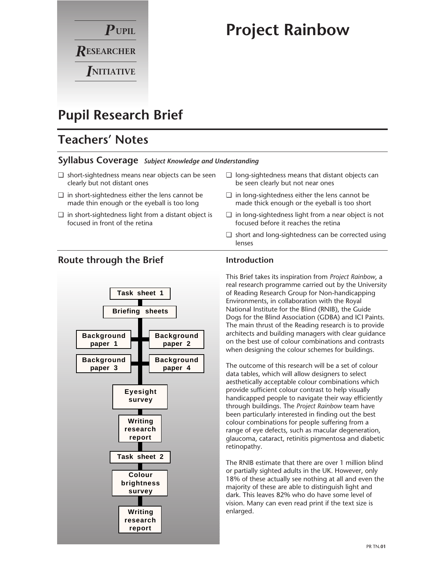

# **Project Rainbow**

# **Pupil Research Brief**

# **Teachers' Notes**

### **Syllabus Coverage** *Subject Knowledge and Understanding*

- ❏ short-sightedness means near objects can be seen clearly but not distant ones
- ❏ in short-sightedness either the lens cannot be made thin enough or the eyeball is too long
- ❏ in short-sightedness light from a distant object is focused in front of the retina
- ❏ long-sightedness means that distant objects can be seen clearly but not near ones
- ❏ in long-sightedness either the lens cannot be made thick enough or the eyeball is too short
- ❏ in long-sightedness light from a near object is not focused before it reaches the retina
- ❏ short and long-sightedness can be corrected using lenses



### **Route through the Brief**

### **Introduction**

This Brief takes its inspiration from *Project Rainbow*, a real research programme carried out by the University of Reading Research Group for Non-handicapping Environments, in collaboration with the Royal National Institute for the Blind (RNIB), the Guide Dogs for the Blind Association (GDBA) and ICI Paints. The main thrust of the Reading research is to provide architects and building managers with clear guidance on the best use of colour combinations and contrasts when designing the colour schemes for buildings.

The outcome of this research will be a set of colour data tables, which will allow designers to select aesthetically acceptable colour combinations which provide sufficient colour contrast to help visually handicapped people to navigate their way efficiently through buildings. The *Project Rainbow* team have been particularly interested in finding out the best colour combinations for people suffering from a range of eye defects, such as macular degeneration, glaucoma, cataract, retinitis pigmentosa and diabetic retinopathy.

The RNIB estimate that there are over 1 million blind or partially sighted adults in the UK. However, only 18% of these actually see nothing at all and even the majority of these are able to distinguish light and dark. This leaves 82% who do have some level of vision. Many can even read print if the text size is enlarged.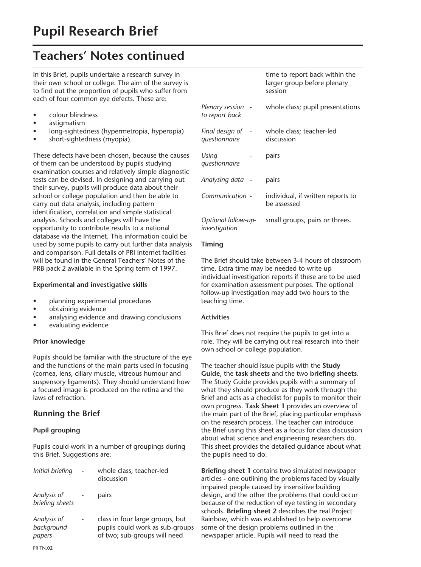In this Brief, pupils undertake a research survey in their own school or college. The aim of the survey is to find out the proportion of pupils who suffer from each of four common eye defects. These are:

- colour blindness
- astigmatism
- long-sightedness (hypermetropia, hyperopia)
- short-sightedness (myopia).

These defects have been chosen, because the causes of them can be understood by pupils studying examination courses and relatively simple diagnostic tests can be devised. In designing and carrying out their survey, pupils will produce data about their school or college population and then be able to carry out data analysis, including pattern identification, correlation and simple statistical analysis. Schools and colleges will have the opportunity to contribute results to a national database via the Internet. This information could be used by some pupils to carry out further data analysis and comparison. Full details of PRI Internet facilities will be found in the General Teachers' Notes of the PRB pack 2 available in the Spring term of 1997.

#### **Experimental and investigative skills**

- planning experimental procedures
- obtaining evidence
- analysing evidence and drawing conclusions
- evaluating evidence

### **Prior knowledge**

Pupils should be familiar with the structure of the eye and the functions of the main parts used in focusing (cornea, lens, ciliary muscle, vitreous humour and suspensory ligaments). They should understand how a focused image is produced on the retina and the laws of refraction.

### **Running the Brief**

### **Pupil grouping**

Pupils could work in a number of groupings during this Brief. Suggestions are:

| Initial briefing                    | whole class; teacher-led<br>discussion                                                             |
|-------------------------------------|----------------------------------------------------------------------------------------------------|
| Analysis of<br>briefing sheets      | pairs                                                                                              |
| Analysis of<br>background<br>papers | class in four large groups, but<br>pupils could work as sub-groups<br>of two; sub-groups will need |

|                                             | time to report back within the<br>larger group before plenary<br>session |
|---------------------------------------------|--------------------------------------------------------------------------|
| Plenary session<br>$\sim$<br>to report back | whole class; pupil presentations                                         |
| Final design of<br>questionnaire            | whole class; teacher-led<br>discussion                                   |
| Using<br>questionnaire                      | pairs                                                                    |
| Analysing data -                            | pairs                                                                    |
| Communication -                             | individual, if written reports to<br>be assessed                         |
| Optional follow-up-<br>investigation        | small groups, pairs or threes.                                           |

### **Timing**

The Brief should take between 3-4 hours of classroom time. Extra time may be needed to write up individual investigation reports if these are to be used for examination assessment purposes. The optional follow-up investigation may add two hours to the teaching time.

#### **Activities**

This Brief does not require the pupils to get into a role. They will be carrying out real research into their own school or college population.

The teacher should issue pupils with the **Study Guide**, the **task sheets** and the two **briefing sheets**. The Study Guide provides pupils with a summary of what they should produce as they work through the Brief and acts as a checklist for pupils to monitor their own progress. **Task Sheet 1** provides an overview of the main part of the Brief, placing particular emphasis on the research process. The teacher can introduce the Brief using this sheet as a focus for class discussion about what science and engineering researchers do. This sheet provides the detailed guidance about what the pupils need to do.

**Briefing sheet 1** contains two simulated newspaper articles - one outlining the problems faced by visually impaired people caused by insensitive building design, and the other the problems that could occur because of the reduction of eye testing in secondary schools. **Briefing sheet 2** describes the real Project Rainbow, which was established to help overcome some of the design problems outlined in the newspaper article. Pupils will need to read the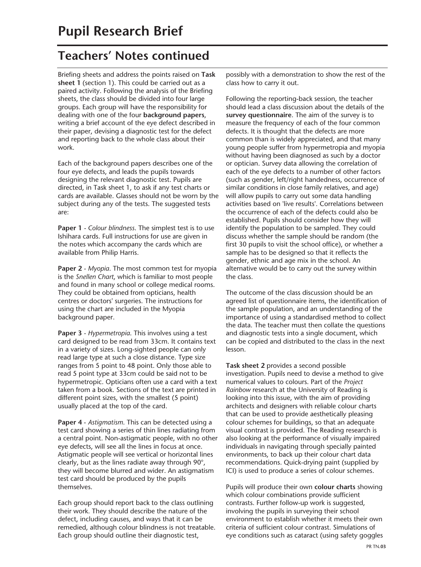Briefing sheets and address the points raised on **Task sheet 1** (section 1). This could be carried out as a paired activity. Following the analysis of the Briefing sheets, the class should be divided into four large groups. Each group will have the responsibility for dealing with one of the four **background papers**, writing a brief account of the eye defect described in their paper, devising a diagnostic test for the defect and reporting back to the whole class about their work.

Each of the background papers describes one of the four eye defects, and leads the pupils towards designing the relevant diagnostic test. Pupils are directed, in Task sheet 1, to ask if any test charts or cards are available. Glasses should not be worn by the subject during any of the tests. The suggested tests are:

**Paper 1** *- Colour blindness*. The simplest test is to use Ishihara cards. Full instructions for use are given in the notes which accompany the cards which are available from Philip Harris.

**Paper 2** *- Myopia*. The most common test for myopia is the *Snellen Chart*, which is familiar to most people and found in many school or college medical rooms. They could be obtained from opticians, health centres or doctors' surgeries. The instructions for using the chart are included in the Myopia background paper.

**Paper 3** *- Hypermetropia*. This involves using a test card designed to be read from 33cm. It contains text in a variety of sizes. Long-sighted people can only read large type at such a close distance. Type size ranges from 5 point to 48 point. Only those able to read 5 point type at 33cm could be said not to be hypermetropic. Opticians often use a card with a text taken from a book. Sections of the text are printed in different point sizes, with the smallest (5 point) usually placed at the top of the card.

**Paper 4** - *Astigmatism*. This can be detected using a test card showing a series of thin lines radiating from a central point. Non-astigmatic people, with no other eye defects, will see all the lines in focus at once. Astigmatic people will see vertical or horizontal lines clearly, but as the lines radiate away through 90°, they will become blurred and wider. An astigmatism test card should be produced by the pupils themselves.

Each group should report back to the class outlining their work. They should describe the nature of the defect, including causes, and ways that it can be remedied, although colour blindness is not treatable. Each group should outline their diagnostic test,

possibly with a demonstration to show the rest of the class how to carry it out.

Following the reporting-back session, the teacher should lead a class discussion about the details of the **survey questionnaire**. The aim of the survey is to measure the frequency of each of the four common defects. It is thought that the defects are more common than is widely appreciated, and that many young people suffer from hypermetropia and myopia without having been diagnosed as such by a doctor or optician. Survey data allowing the correlation of each of the eye defects to a number of other factors (such as gender, left/right handedness, occurrence of similar conditions in close family relatives, and age) will allow pupils to carry out some data handling activities based on 'live results'. Correlations between the occurrence of each of the defects could also be established. Pupils should consider how they will identify the population to be sampled. They could discuss whether the sample should be random (the first 30 pupils to visit the school office), or whether a sample has to be designed so that it reflects the gender, ethnic and age mix in the school. An alternative would be to carry out the survey within the class.

The outcome of the class discussion should be an agreed list of questionnaire items, the identification of the sample population, and an understanding of the importance of using a standardised method to collect the data. The teacher must then collate the questions and diagnostic tests into a single document, which can be copied and distributed to the class in the next lesson.

**Task sheet 2** provides a second possible investigation. Pupils need to devise a method to give numerical values to colours. Part of the *Project Rainbow* research at the University of Reading is looking into this issue, with the aim of providing architects and designers with reliable colour charts that can be used to provide aesthetically pleasing colour schemes for buildings, so that an adequate visual contrast is provided. The Reading research is also looking at the performance of visually impaired individuals in navigating through specially painted environments, to back up their colour chart data recommendations. Quick-drying paint (supplied by ICI) is used to produce a series of colour schemes.

Pupils will produce their own **colour charts** showing which colour combinations provide sufficient contrasts. Further follow-up work is suggested, involving the pupils in surveying their school environment to establish whether it meets their own criteria of sufficient colour contrast. Simulations of eye conditions such as cataract (using safety goggles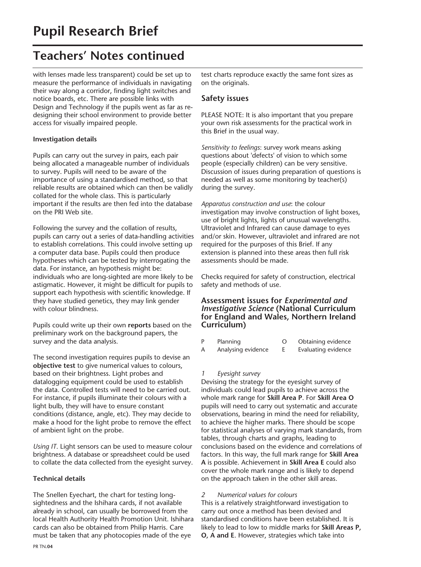with lenses made less transparent) could be set up to measure the performance of individuals in navigating their way along a corridor, finding light switches and notice boards, etc. There are possible links with Design and Technology if the pupils went as far as redesigning their school environment to provide better access for visually impaired people.

### **Investigation details**

Pupils can carry out the survey in pairs, each pair being allocated a manageable number of individuals to survey. Pupils will need to be aware of the importance of using a standardised method, so that reliable results are obtained which can then be validly collated for the whole class. This is particularly important if the results are then fed into the database on the PRI Web site.

Following the survey and the collation of results, pupils can carry out a series of data-handling activities to establish correlations. This could involve setting up a computer data base. Pupils could then produce hypotheses which can be tested by interrogating the data. For instance, an hypothesis might be: individuals who are long-sighted are more likely to be astigmatic. However, it might be difficult for pupils to support each hypothesis with scientific knowledge. If they have studied genetics, they may link gender with colour blindness.

Pupils could write up their own **reports** based on the preliminary work on the background papers, the survey and the data analysis.

The second investigation requires pupils to devise an **objective test** to give numerical values to colours, based on their brightness. Light probes and datalogging equipment could be used to establish the data. Controlled tests will need to be carried out. For instance, if pupils illuminate their colours with a light bulb, they will have to ensure constant conditions (distance, angle, etc). They may decide to make a hood for the light probe to remove the effect of ambient light on the probe.

*Using IT*. Light sensors can be used to measure colour brightness. A database or spreadsheet could be used to collate the data collected from the eyesight survey.

### **Technical details**

The Snellen Eyechart, the chart for testing longsightedness and the Ishihara cards, if not available already in school, can usually be borrowed from the local Health Authority Health Promotion Unit. Ishihara cards can also be obtained from Philip Harris. Care must be taken that any photocopies made of the eye

test charts reproduce exactly the same font sizes as on the originals.

### **Safety issues**

PLEASE NOTE: It is also important that you prepare your own risk assessments for the practical work in this Brief in the usual way.

*Sensitivity to feelings*: survey work means asking questions about 'defects' of vision to which some people (especially children) can be very sensitive. Discussion of issues during preparation of questions is needed as well as some monitoring by teacher(s) during the survey.

*Apparatus construction and use*: the colour investigation may involve construction of light boxes, use of bright lights, lights of unusual wavelengths. Ultraviolet and Infrared can cause damage to eyes and/or skin. However, ultraviolet and infrared are not required for the purposes of this Brief. If any extension is planned into these areas then full risk assessments should be made.

Checks required for safety of construction, electrical safety and methods of use.

### **Assessment issues for** *Experimental and Investigative Science* **(National Curriculum for England and Wales, Northern Ireland Curriculum)**

| P | Planning           | Obtaining evidence  |
|---|--------------------|---------------------|
| A | Analysing evidence | Evaluating evidence |

### *1 Eyesight survey*

Devising the strategy for the eyesight survey of individuals could lead pupils to achieve across the whole mark range for **Skill Area P**. For **Skill Area O** pupils will need to carry out systematic and accurate observations, bearing in mind the need for reliability, to achieve the higher marks. There should be scope for statistical analyses of varying mark standards, from tables, through charts and graphs, leading to conclusions based on the evidence and correlations of factors. In this way, the full mark range for **Skill Area A** is possible. Achievement in **Skill Area E** could also cover the whole mark range and is likely to depend on the approach taken in the other skill areas.

### *2 Numerical values for colours*

This is a relatively straightforward investigation to carry out once a method has been devised and standardised conditions have been established. It is likely to lead to low to middle marks for **Skill Areas P, O, A and E**. However, strategies which take into